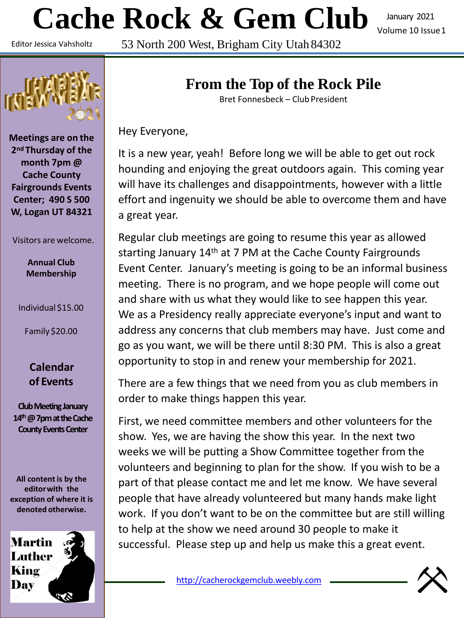# **Cache Rock & Gem Club**

January 2021 Volume 10 Issue1

Editor Jessica Vahsholtz

53 North 200 West, Brigham City Utah 84302



**Meetings are on the 2nd Thursday of the month 7pm @ Cache County Fairgrounds Events Center; 490 S 500 W, Logan UT 84321**

#### Visitors are welcome.

**Annual Club Membership**

Individual \$15.00

Family \$20.00

#### **Calendar of Events**

**Club Meeting January 14th@7pmattheCache County Events Center** 

**All content is by the editorwith the exception of where it is denoted otherwise.**



# **From the Top of the Rock Pile**

Bret Fonnesbeck – Club President

Hey Everyone,

It is a new year, yeah! Before long we will be able to get out rock hounding and enjoying the great outdoors again. This coming year will have its challenges and disappointments, however with a little effort and ingenuity we should be able to overcome them and have a great year.

Regular club meetings are going to resume this year as allowed starting January 14th at 7 PM at the Cache County Fairgrounds Event Center. January's meeting is going to be an informal business meeting. There is no program, and we hope people will come out and share with us what they would like to see happen this year. We as a Presidency really appreciate everyone's input and want to address any concerns that club members may have. Just come and go as you want, we will be there until 8:30 PM. This is also a great opportunity to stop in and renew your membership for 2021.

There are a few things that we need from you as club members in order to make things happen this year.

First, we need committee members and other volunteers for the show. Yes, we are having the show this year. In the next two weeks we will be putting a Show Committee together from the volunteers and beginning to plan for the show. If you wish to be a part of that please contact me and let me know. We have several people that have already volunteered but many hands make light work. If you don't want to be on the committee but are still willing to help at the show we need around 30 people to make it successful. Please step up and help us make this a great event.

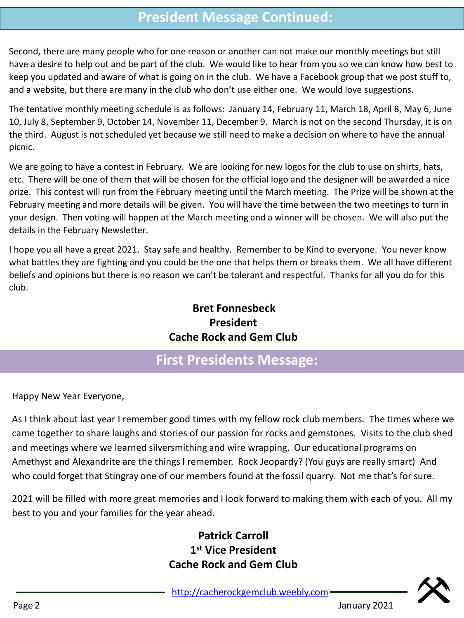## **President Message Continued:**

Second, there are many people who for one reason or another can not make our monthly meetings but still have a desire to help out and be part of the club. We would like to hear from you so we can know how best to keep you updated and aware of what is going on in the club. We have a Facebook group that we post stuff to, and a website, but there are many in the club who don't use either one. We would love suggestions.

The tentative monthly meeting schedule is as follows: January 14, February 11, March 18, April 8, May 6, June 10, July 8, September 9, October 14, November 11, December 9. March is not on the second Thursday, it is on the third. August is not scheduled yet because we still need to make a decision on where to have the annual picnic.

We are going to have a contest in February. We are looking for new logos for the club to use on shirts, hats, etc. There will be one of them that will be chosen for the official logo and the designer will be awarded a nice prize. This contest will run from the February meeting until the March meeting. The Prize will be shown at the February meeting and more details will be given. You will have the time between the two meetings to turn in your design. Then voting will happen at the March meeting and a winner will be chosen. We will also put the details in the February Newsletter.

I hope you all have a great 2021. Stay safe and healthy. Remember to be Kind to everyone. You never know what battles they are fighting and you could be the one that helps them or breaks them. We all have different beliefs and opinions but there is no reason we can't be tolerant and respectful. Thanks for all you do for this club.

#### **Bret Fonnesbeck President Cache Rock and Gem Club**

## **First Presidents Message:**

Happy New Year Everyone,

As I think about last year I remember good times with my fellow rock club members. The times where we came together to share laughs and stories of our passion for rocks and gemstones. Visits to the club shed and meetings where we learned silversmithing and wire wrapping. Our educational programs on Amethyst and Alexandrite are the things I remember. Rock Jeopardy? (You guys are really smart) And who could forget that Stingray one of our members found at the fossil quarry. Not me that's for sure.

2021 will be filled with more great memories and I look forward to making them with each of you. All my best to you and your families for the year ahead.

## **Patrick Carroll 1 st Vice President Cache Rock and Gem Club**

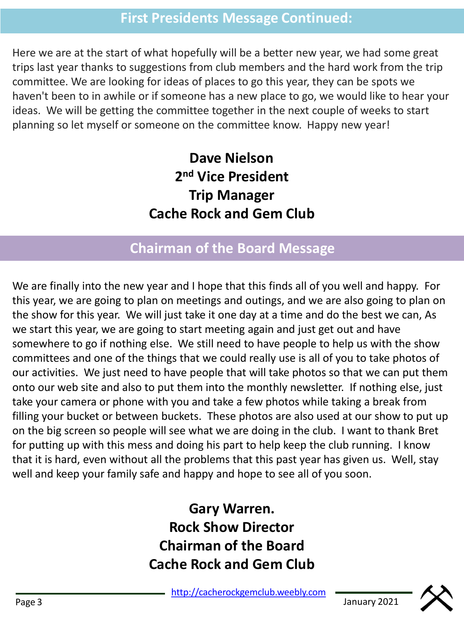## **First Presidents Message Continued:**

Here we are at the start of what hopefully will be a better new year, we had some great trips last year thanks to suggestions from club members and the hard work from the trip committee. We are looking for ideas of places to go this year, they can be spots we haven't been to in awhile or if someone has a new place to go, we would like to hear your ideas. We will be getting the committee together in the next couple of weeks to start planning so let myself or someone on the committee know. Happy new year!

> **Dave Nielson 2 nd Vice President Trip Manager Cache Rock and Gem Club**

## **Chairman of the Board Message**

We are finally into the new year and I hope that this finds all of you well and happy. For this year, we are going to plan on meetings and outings, and we are also going to plan on the show for this year. We will just take it one day at a time and do the best we can, As we start this year, we are going to start meeting again and just get out and have somewhere to go if nothing else. We still need to have people to help us with the show committees and one of the things that we could really use is all of you to take photos of our activities. We just need to have people that will take photos so that we can put them onto our web site and also to put them into the monthly newsletter. If nothing else, just take your camera or phone with you and take a few photos while taking a break from filling your bucket or between buckets. These photos are also used at our show to put up on the big screen so people will see what we are doing in the club. I want to thank Bret for putting up with this mess and doing his part to help keep the club running. I know that it is hard, even without all the problems that this past year has given us. Well, stay well and keep your family safe and happy and hope to see all of you soon.

> **Gary Warren. Rock Show Director Chairman of the Board Cache Rock and Gem Club**

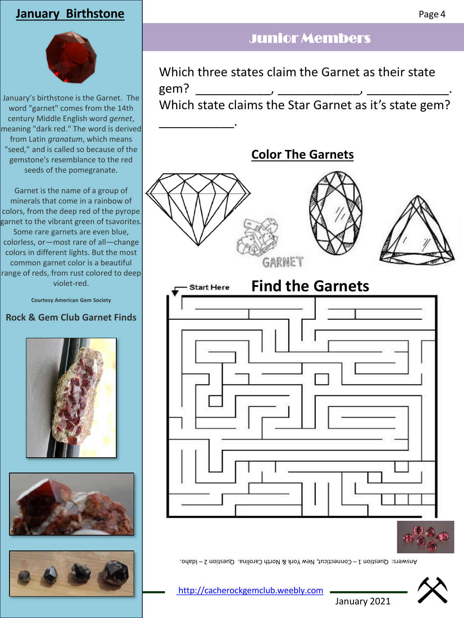### **January Birthstone**



January's birthstone is the Garnet. The word "garnet" comes from the 14th century Middle English word *gernet*, meaning "dark red." The word is derived from Latin *granatum*, which means "seed," and is called so because of the gemstone's resemblance to the red seeds of the pomegranate.

Garnet is the name of a group of minerals that come in a rainbow of colors, from the deep red of the pyrope garnet to the vibrant green of tsavorites. Some rare garnets are even blue, colorless, or—most rare of all—change colors in different lights. But the most common garnet color is a beautiful range of reds, from rust colored to deep violet-red.

**Courtesy American Gem Society**

#### **Rock & Gem Club Garnet Finds**







## Junior Members

Which three states claim the Garnet as their state gem? \_\_\_\_\_\_\_\_\_\_\_, \_\_\_\_\_\_\_\_\_\_\_\_, \_\_\_\_\_\_\_\_\_\_\_\_. Which state claims the Star Garnet as it's state gem?





January 2021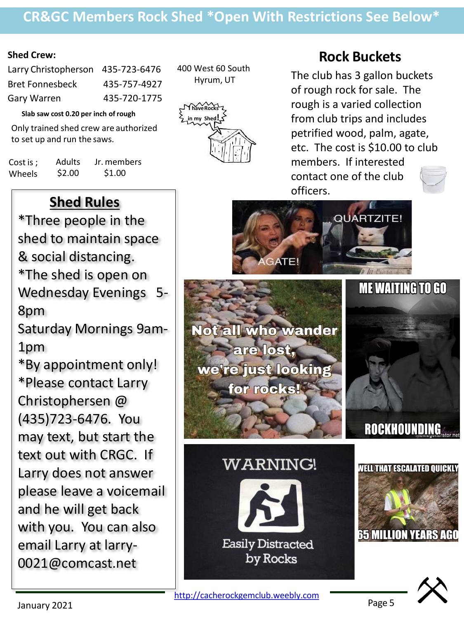## **CR&GC Members Rock Shed \*Open With Restrictions See Below\***

#### **Shed Crew:**

| Larry Christopherson 435-723-6476 |
|-----------------------------------|
| 435-757-4927                      |
| 435-720-1775                      |
|                                   |

**Slab saw cost 0.20 per inch ofrough**

Only trained shed crew are authorized to set up and run the saws.

| Cost is ; | <b>Adults</b> | Jr. members |
|-----------|---------------|-------------|
| Wheels    | \$2.00        | \$1.00      |

400 West 60 South Hyrum, UT



## **Rock Buckets**

The club has 3 gallon buckets of rough rock for sale. The rough is a varied collection from club trips and includes petrified wood, palm, agate, etc. The cost is \$10.00 to club members. If interested contact one of the club officers.



# **Shed Rules**

\*Three people in the shed to maintain space & social distancing. \*The shed is open on Wednesday Evenings 5- 8pm Saturday Mornings 9am-

1pm

\*By appointment only! \*Please contact Larry Christophersen @ (435)723-6476. You may text, but start the text out with CRGC. If Larry does not answer please leave a voicemail and he will get back with you. You can also email Larry at larry-0021@comcast.net

Page 5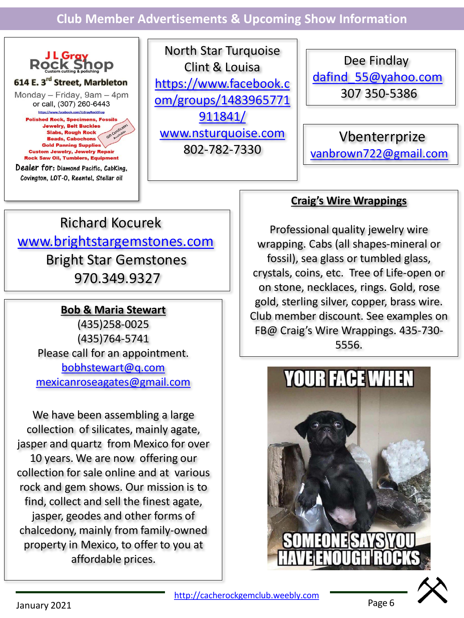**Club Member Advertisements & Upcoming Show Information**



North Star Turquoise Clint & Louisa https://www.facebook.c [om/groups/1483965771](https://www.facebook.com/groups/1483965771911841/) 911841/ [www.nsturquoise.com](http://www.nsturquoise.com/) 802-782-7330

Dee Findlay [dafind\\_55@yahoo.com](mailto:dafind_55@yahoo.com) 307 350-5386

Vbenterrprize [vanbrown722@gmail.com](mailto:vanbrown722@gmail.com)

# Richard Kocurek [www.brightstargemstones.com](http://www.brightstargemstones.com/) Bright Star Gemstones 970.349.9327

#### **Bob & Maria Stewart**

(435)258-0025 (435)764-5741 Please call for an appointment. [bobhstewart@q.com](mailto:bobhstewart@q.com) [mexicanroseagates@gmail.com](mailto:mexicanroseagates@gmail.com)

We have been assembling a large collection of silicates, mainly agate, jasper and quartz from Mexico for over 10 years. We are now offering our collection for sale online and at various rock and gem shows. Our mission is to find, collect and sell the finest agate, jasper, geodes and other forms of chalcedony, mainly from family-owned property in Mexico, to offer to you at affordable prices.

#### **Craig's Wire Wrappings**

Professional quality jewelry wire wrapping. Cabs (all shapes-mineral or fossil), sea glass or tumbled glass, crystals, coins, etc. Tree of Life-open or on stone, necklaces, rings. Gold, rose gold, sterling silver, copper, brass wire. Club member discount. See examples on FB@ Craig's Wire Wrappings. 435-730- 5556.





Page 6